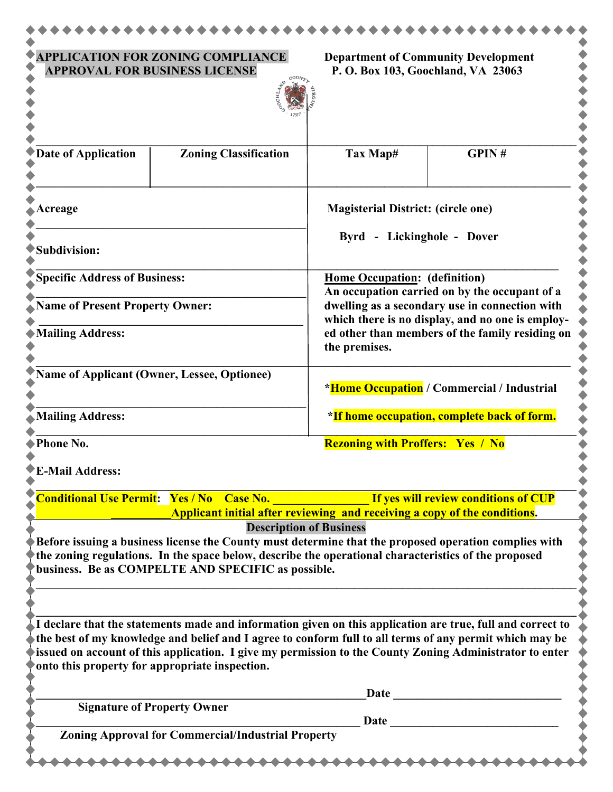| <b>APPLICATION FOR ZONING COMPLIANCE</b><br><b>APPROVAL FOR BUSINESS LICENSE</b> |                                                                                                                                                                                                                                                                                                                                  | <b>Department of Community Development</b><br>P. O. Box 103, Goochland, VA 23063                                                                                                                                                                         |       |
|----------------------------------------------------------------------------------|----------------------------------------------------------------------------------------------------------------------------------------------------------------------------------------------------------------------------------------------------------------------------------------------------------------------------------|----------------------------------------------------------------------------------------------------------------------------------------------------------------------------------------------------------------------------------------------------------|-------|
|                                                                                  |                                                                                                                                                                                                                                                                                                                                  |                                                                                                                                                                                                                                                          |       |
| <b>Date of Application</b>                                                       | <b>Zoning Classification</b>                                                                                                                                                                                                                                                                                                     | Tax Map#                                                                                                                                                                                                                                                 | GPIN# |
| Acreage                                                                          |                                                                                                                                                                                                                                                                                                                                  | <b>Magisterial District: (circle one)</b>                                                                                                                                                                                                                |       |
| Subdivision:                                                                     |                                                                                                                                                                                                                                                                                                                                  | Byrd - Lickinghole - Dover                                                                                                                                                                                                                               |       |
| <b>Specific Address of Business:</b>                                             |                                                                                                                                                                                                                                                                                                                                  | Home Occupation: (definition)<br>An occupation carried on by the occupant of a<br>dwelling as a secondary use in connection with<br>which there is no display, and no one is employ-<br>ed other than members of the family residing on<br>the premises. |       |
| <b>Name of Present Property Owner:</b>                                           |                                                                                                                                                                                                                                                                                                                                  |                                                                                                                                                                                                                                                          |       |
| <b>Mailing Address:</b>                                                          |                                                                                                                                                                                                                                                                                                                                  |                                                                                                                                                                                                                                                          |       |
| Name of Applicant (Owner, Lessee, Optionee)                                      |                                                                                                                                                                                                                                                                                                                                  | *Home Occupation / Commercial / Industrial                                                                                                                                                                                                               |       |
| <b>Mailing Address:</b>                                                          |                                                                                                                                                                                                                                                                                                                                  | *If home occupation, complete back of form.                                                                                                                                                                                                              |       |
| Phone No.                                                                        |                                                                                                                                                                                                                                                                                                                                  | <b>Rezoning with Proffers: Yes / No</b>                                                                                                                                                                                                                  |       |
| <b>E-Mail Address:</b>                                                           |                                                                                                                                                                                                                                                                                                                                  |                                                                                                                                                                                                                                                          |       |
| <b>Conditional Use Permit: Yes / No Case No.</b>                                 |                                                                                                                                                                                                                                                                                                                                  | If yes will review conditions of CUP<br>Applicant initial after reviewing and receiving a copy of the conditions.                                                                                                                                        |       |
|                                                                                  | <b>Description of Business</b><br>Before issuing a business license the County must determine that the proposed operation complies with<br>the zoning regulations. In the space below, describe the operational characteristics of the proposed<br>business. Be as COMPELTE AND SPECIFIC as possible.                            |                                                                                                                                                                                                                                                          |       |
| onto this property for appropriate inspection.                                   | I declare that the statements made and information given on this application are true, full and correct to<br>the best of my knowledge and belief and I agree to conform full to all terms of any permit which may be<br>issued on account of this application. I give my permission to the County Zoning Administrator to enter |                                                                                                                                                                                                                                                          |       |
|                                                                                  |                                                                                                                                                                                                                                                                                                                                  | <b>Date</b>                                                                                                                                                                                                                                              |       |
| <b>Signature of Property Owner</b>                                               |                                                                                                                                                                                                                                                                                                                                  |                                                                                                                                                                                                                                                          |       |